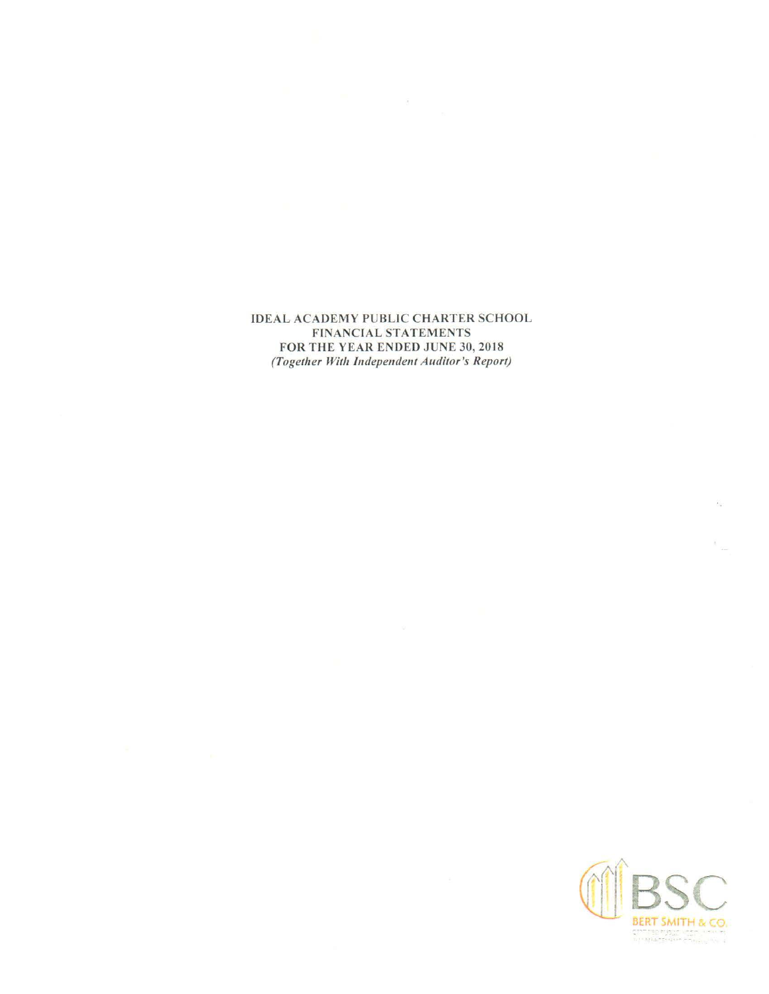**IDEAL ACADEMY PUBLIC CHARTER SCHOOL FINANCIAL STATEMENTS** FOR THE YEAR ENDED JUNE 30, 2018 (Together With Independent Auditor's Report)



 $\frac{\partial \mathcal{L}}{\partial \mathbf{u}}$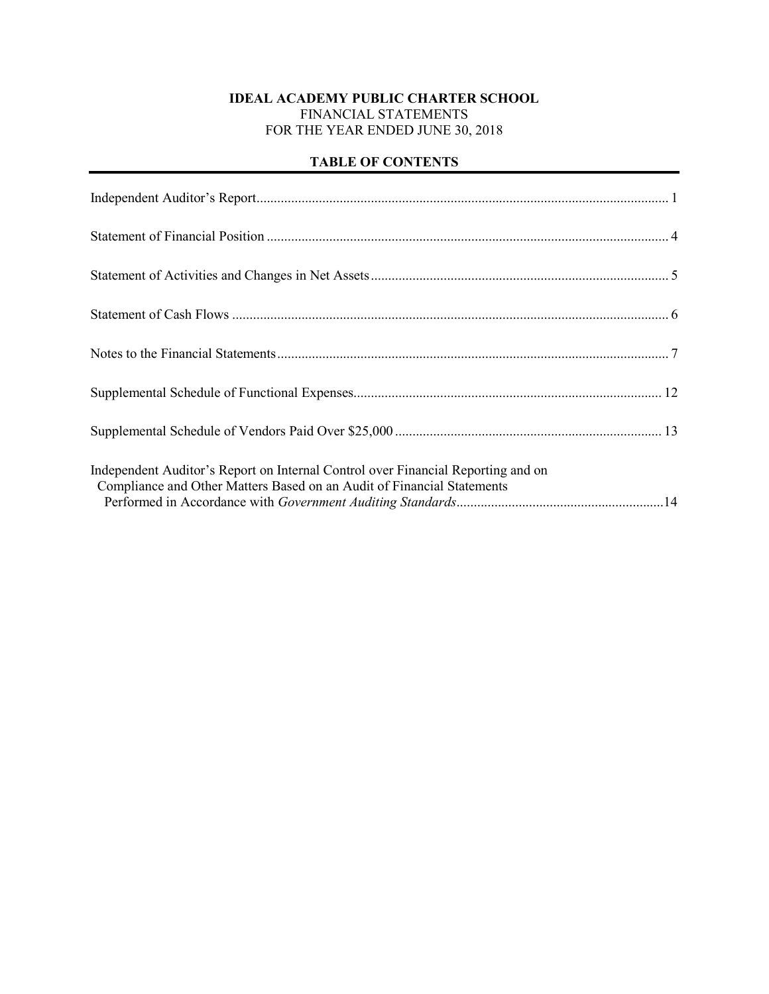## **IDEAL ACADEMY PUBLIC CHARTER SCHOOL** FINANCIAL STATEMENTS FOR THE YEAR ENDED JUNE 30, 2018

## **TABLE OF CONTENTS**

| Independent Auditor's Report on Internal Control over Financial Reporting and on<br>Compliance and Other Matters Based on an Audit of Financial Statements |
|------------------------------------------------------------------------------------------------------------------------------------------------------------|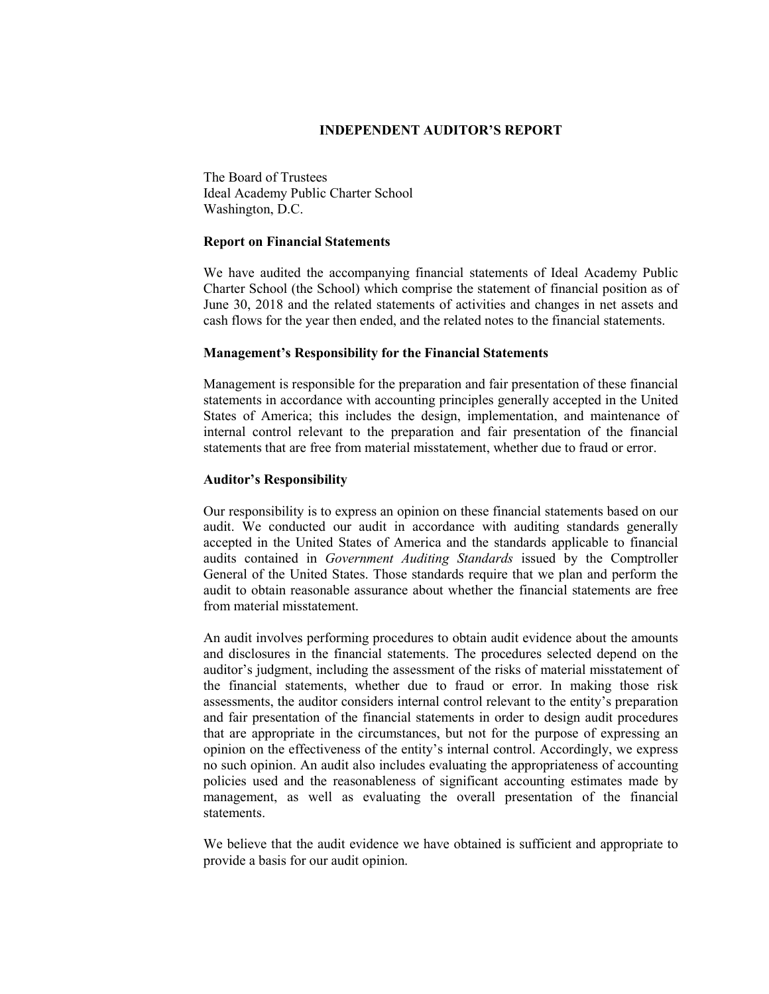#### **INDEPENDENT AUDITOR'S REPORT**

The Board of Trustees Ideal Academy Public Charter School Washington, D.C.

#### **Report on Financial Statements**

We have audited the accompanying financial statements of Ideal Academy Public Charter School (the School) which comprise the statement of financial position as of June 30, 2018 and the related statements of activities and changes in net assets and cash flows for the year then ended, and the related notes to the financial statements.

#### **Management's Responsibility for the Financial Statements**

Management is responsible for the preparation and fair presentation of these financial statements in accordance with accounting principles generally accepted in the United States of America; this includes the design, implementation, and maintenance of internal control relevant to the preparation and fair presentation of the financial statements that are free from material misstatement, whether due to fraud or error.

#### **Auditor's Responsibility**

Our responsibility is to express an opinion on these financial statements based on our audit. We conducted our audit in accordance with auditing standards generally accepted in the United States of America and the standards applicable to financial audits contained in *Government Auditing Standards* issued by the Comptroller General of the United States. Those standards require that we plan and perform the audit to obtain reasonable assurance about whether the financial statements are free from material misstatement.

An audit involves performing procedures to obtain audit evidence about the amounts and disclosures in the financial statements. The procedures selected depend on the auditor's judgment, including the assessment of the risks of material misstatement of the financial statements, whether due to fraud or error. In making those risk assessments, the auditor considers internal control relevant to the entity's preparation and fair presentation of the financial statements in order to design audit procedures that are appropriate in the circumstances, but not for the purpose of expressing an opinion on the effectiveness of the entity's internal control. Accordingly, we express no such opinion. An audit also includes evaluating the appropriateness of accounting policies used and the reasonableness of significant accounting estimates made by management, as well as evaluating the overall presentation of the financial statements.

We believe that the audit evidence we have obtained is sufficient and appropriate to provide a basis for our audit opinion.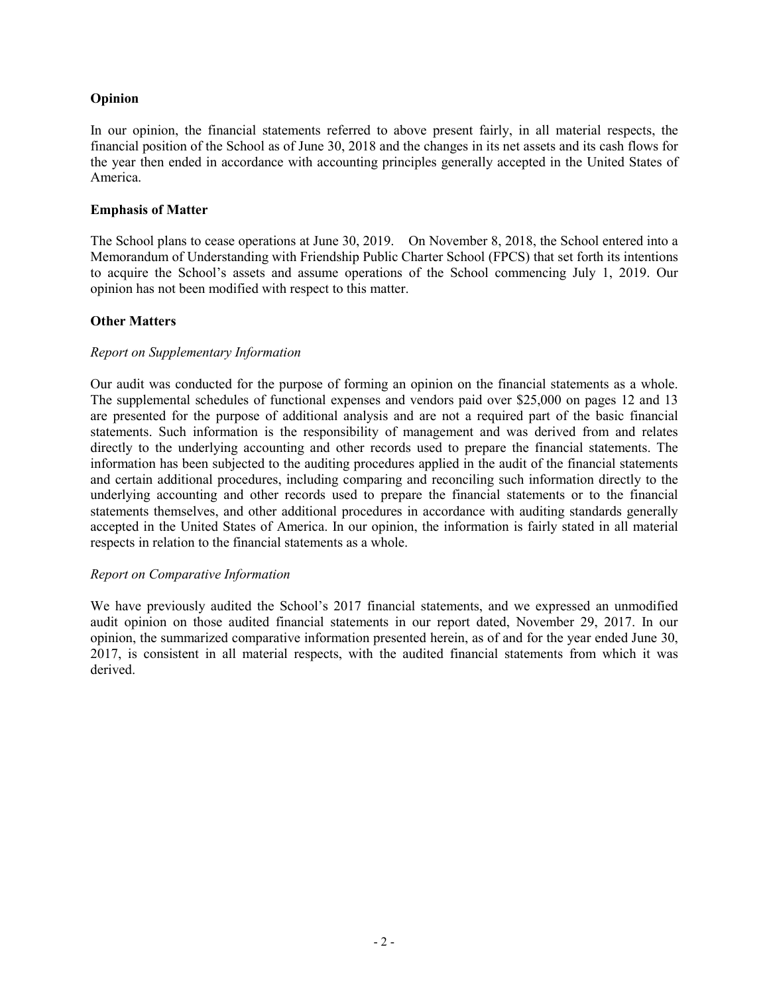## **Opinion**

In our opinion, the financial statements referred to above present fairly, in all material respects, the financial position of the School as of June 30, 2018 and the changes in its net assets and its cash flows for the year then ended in accordance with accounting principles generally accepted in the United States of America.

#### **Emphasis of Matter**

The School plans to cease operations at June 30, 2019. On November 8, 2018, the School entered into a Memorandum of Understanding with Friendship Public Charter School (FPCS) that set forth its intentions to acquire the School's assets and assume operations of the School commencing July 1, 2019. Our opinion has not been modified with respect to this matter.

#### **Other Matters**

#### *Report on Supplementary Information*

Our audit was conducted for the purpose of forming an opinion on the financial statements as a whole. The supplemental schedules of functional expenses and vendors paid over \$25,000 on pages 12 and 13 are presented for the purpose of additional analysis and are not a required part of the basic financial statements. Such information is the responsibility of management and was derived from and relates directly to the underlying accounting and other records used to prepare the financial statements. The information has been subjected to the auditing procedures applied in the audit of the financial statements and certain additional procedures, including comparing and reconciling such information directly to the underlying accounting and other records used to prepare the financial statements or to the financial statements themselves, and other additional procedures in accordance with auditing standards generally accepted in the United States of America. In our opinion, the information is fairly stated in all material respects in relation to the financial statements as a whole.

#### *Report on Comparative Information*

We have previously audited the School's 2017 financial statements, and we expressed an unmodified audit opinion on those audited financial statements in our report dated, November 29, 2017. In our opinion, the summarized comparative information presented herein, as of and for the year ended June 30, 2017, is consistent in all material respects, with the audited financial statements from which it was derived.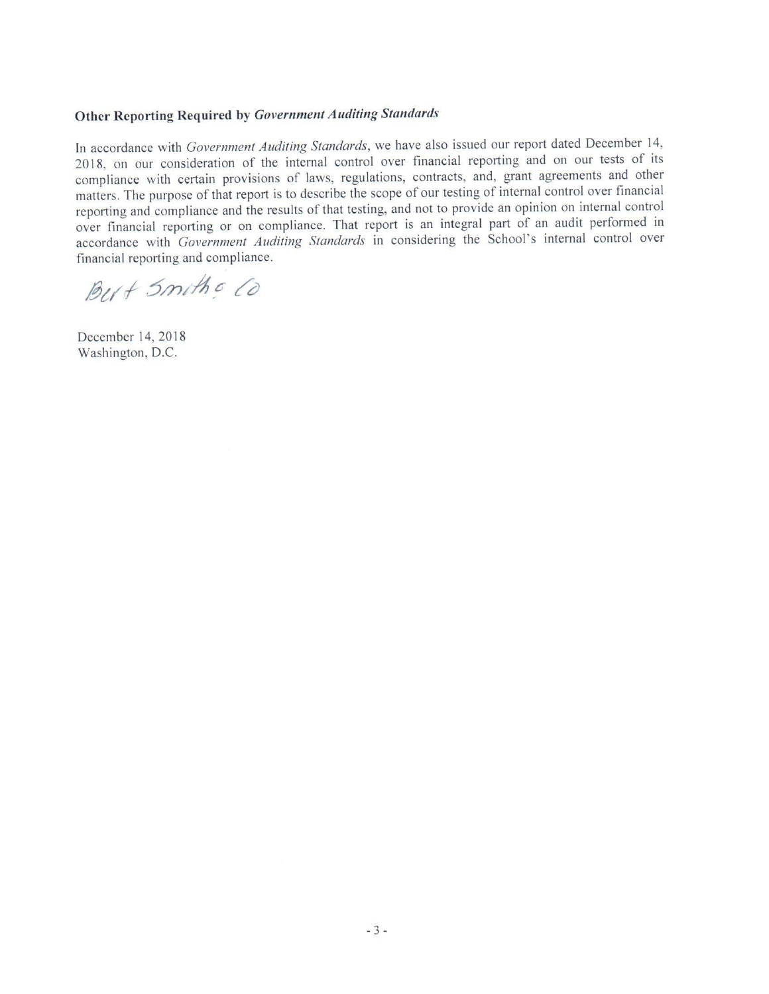## Other Reporting Required by Government Auditing Standards

In accordance with Government Auditing Standards, we have also issued our report dated December 14, 2018, on our consideration of the internal control over financial reporting and on our tests of its compliance with certain provisions of laws, regulations, contracts, and, grant agreements and other matters. The purpose of that report is to describe the scope of our testing of internal control over financial reporting and compliance and the results of that testing, and not to provide an opinion on internal control over financial reporting or on compliance. That report is an integral part of an audit performed in accordance with Government Auditing Standards in considering the School's internal control over financial reporting and compliance.

But Smith & Co

December 14, 2018 Washington, D.C.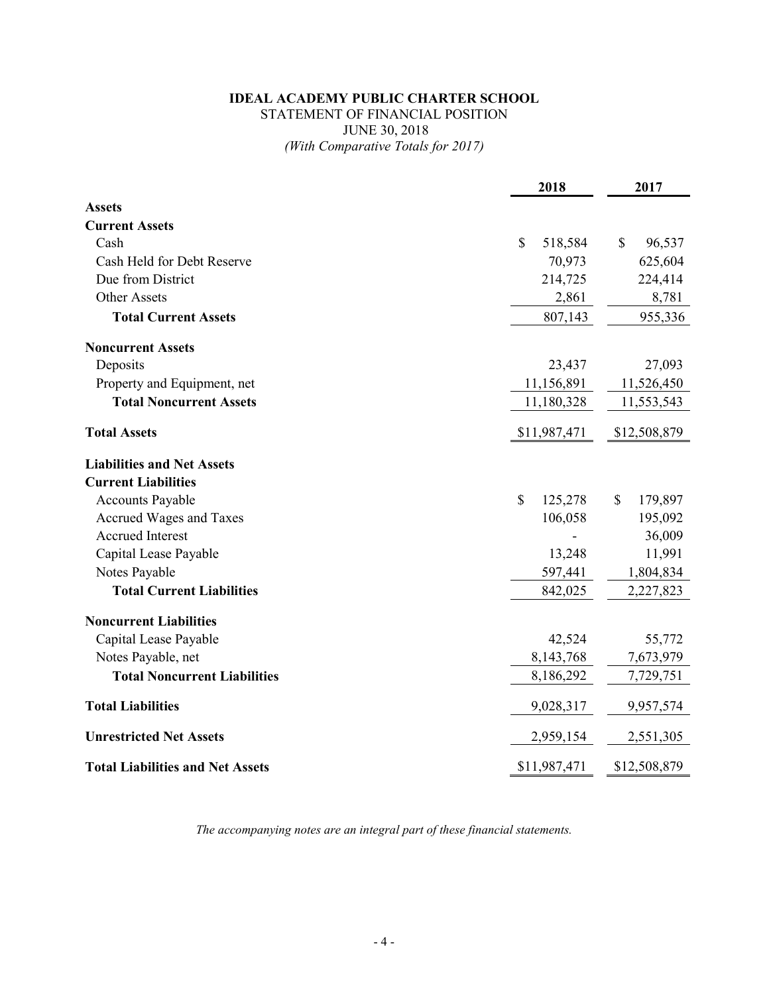## **IDEAL ACADEMY PUBLIC CHARTER SCHOOL** STATEMENT OF FINANCIAL POSITION JUNE 30, 2018 *(With Comparative Totals for 2017)*

|                                         | 2018          | 2017                    |
|-----------------------------------------|---------------|-------------------------|
| <b>Assets</b>                           |               |                         |
| <b>Current Assets</b>                   |               |                         |
| Cash                                    | \$<br>518,584 | $\mathcal{S}$<br>96,537 |
| Cash Held for Debt Reserve              | 70,973        | 625,604                 |
| Due from District                       | 214,725       | 224,414                 |
| <b>Other Assets</b>                     | 2,861         | 8,781                   |
| <b>Total Current Assets</b>             | 807,143       | 955,336                 |
| <b>Noncurrent Assets</b>                |               |                         |
| Deposits                                | 23,437        | 27,093                  |
| Property and Equipment, net             | 11,156,891    | 11,526,450              |
| <b>Total Noncurrent Assets</b>          | 11,180,328    | 11,553,543              |
| <b>Total Assets</b>                     | \$11,987,471  | \$12,508,879            |
| <b>Liabilities and Net Assets</b>       |               |                         |
| <b>Current Liabilities</b>              |               |                         |
| <b>Accounts Payable</b>                 | \$<br>125,278 | \$<br>179,897           |
| Accrued Wages and Taxes                 | 106,058       | 195,092                 |
| <b>Accrued Interest</b>                 |               | 36,009                  |
| Capital Lease Payable                   | 13,248        | 11,991                  |
| Notes Payable                           | 597,441       | 1,804,834               |
| <b>Total Current Liabilities</b>        | 842,025       | 2,227,823               |
| <b>Noncurrent Liabilities</b>           |               |                         |
| Capital Lease Payable                   | 42,524        | 55,772                  |
| Notes Payable, net                      | 8,143,768     | 7,673,979               |
| <b>Total Noncurrent Liabilities</b>     | 8,186,292     | 7,729,751               |
| <b>Total Liabilities</b>                | 9,028,317     | 9,957,574               |
| <b>Unrestricted Net Assets</b>          | 2,959,154     | 2,551,305               |
| <b>Total Liabilities and Net Assets</b> | \$11,987,471  | \$12,508,879            |

*The accompanying notes are an integral part of these financial statements.*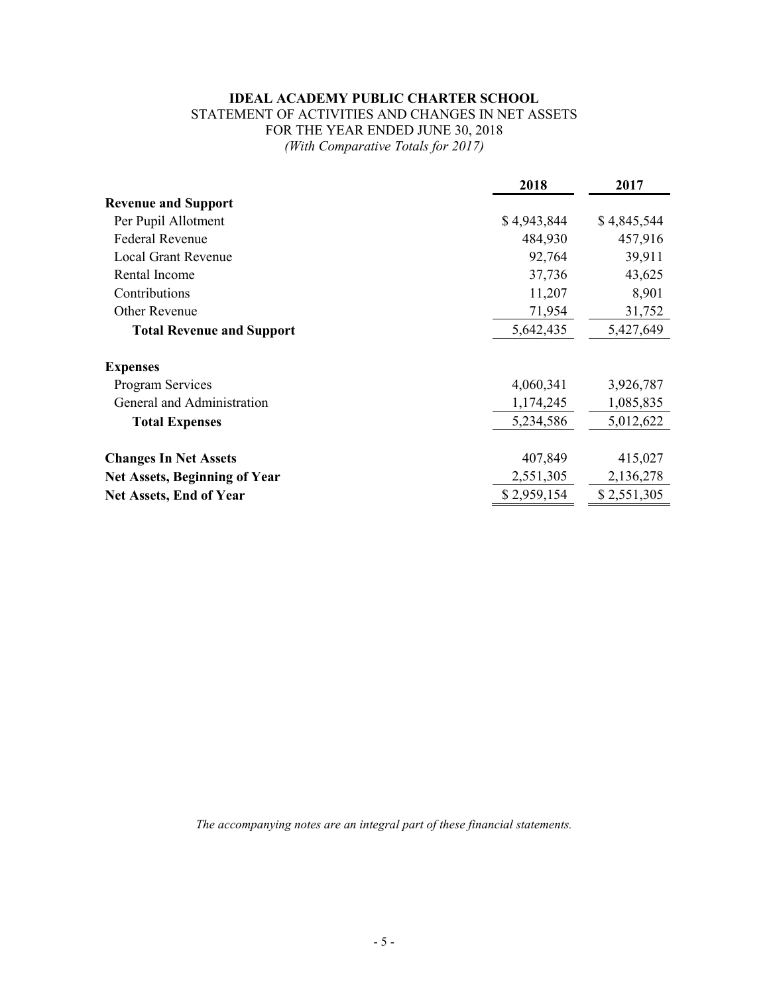## **IDEAL ACADEMY PUBLIC CHARTER SCHOOL**

## STATEMENT OF ACTIVITIES AND CHANGES IN NET ASSETS FOR THE YEAR ENDED JUNE 30, 2018 *(With Comparative Totals for 2017)*

|                                      | 2018        | 2017        |
|--------------------------------------|-------------|-------------|
| <b>Revenue and Support</b>           |             |             |
| Per Pupil Allotment                  | \$4,943,844 | \$4,845,544 |
| <b>Federal Revenue</b>               | 484,930     | 457,916     |
| Local Grant Revenue                  | 92,764      | 39,911      |
| Rental Income                        | 37,736      | 43,625      |
| Contributions                        | 11,207      | 8,901       |
| <b>Other Revenue</b>                 | 71,954      | 31,752      |
| <b>Total Revenue and Support</b>     | 5,642,435   | 5,427,649   |
| <b>Expenses</b>                      |             |             |
| <b>Program Services</b>              | 4,060,341   | 3,926,787   |
| General and Administration           | 1,174,245   | 1,085,835   |
| <b>Total Expenses</b>                | 5,234,586   | 5,012,622   |
| <b>Changes In Net Assets</b>         | 407,849     | 415,027     |
| <b>Net Assets, Beginning of Year</b> | 2,551,305   | 2,136,278   |
| <b>Net Assets, End of Year</b>       | \$2,959,154 | \$2,551,305 |

*The accompanying notes are an integral part of these financial statements.*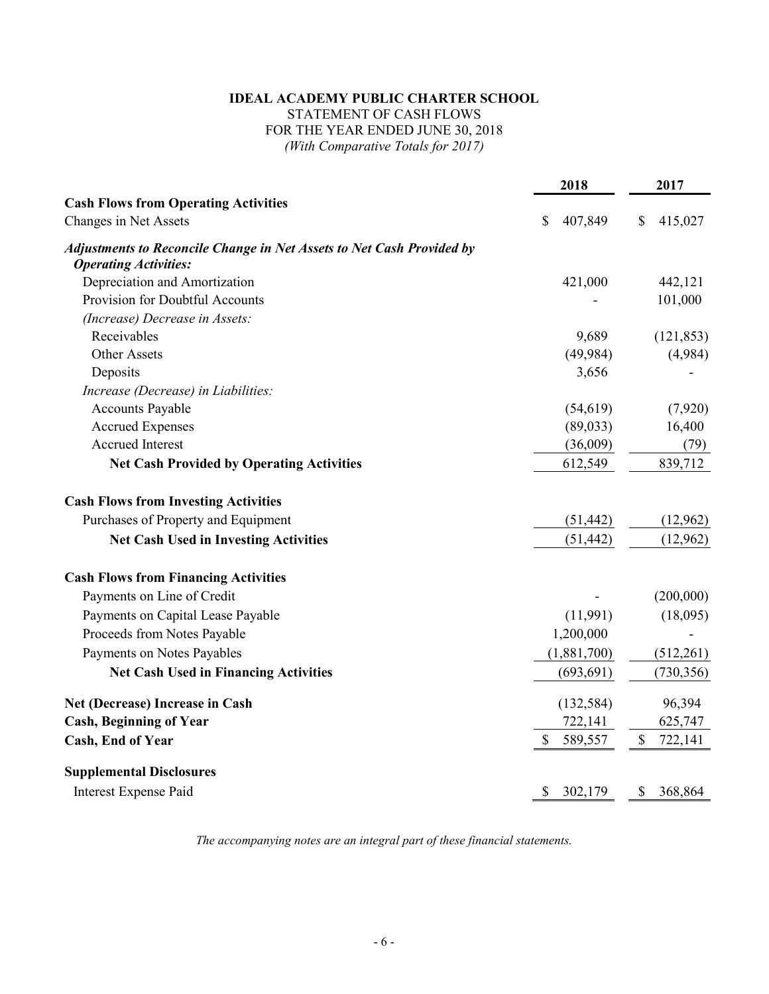## **IDEAL ACADEMY PUBLIC CHARTER SCHOOL** STATEMENT OF CASH FLOWS

## FOR THE YEAR ENDED JUNE 30, 2018

*(With Comparative Totals for 2017)*

|                                                                                                              | 2018          | 2017                    |
|--------------------------------------------------------------------------------------------------------------|---------------|-------------------------|
| <b>Cash Flows from Operating Activities</b>                                                                  |               |                         |
| Changes in Net Assets                                                                                        | \$<br>407,849 | \$<br>415,027           |
| <b>Adjustments to Reconcile Change in Net Assets to Net Cash Provided by</b><br><b>Operating Activities:</b> |               |                         |
| Depreciation and Amortization                                                                                | 421,000       | 442,121                 |
| Provision for Doubtful Accounts                                                                              |               | 101,000                 |
| (Increase) Decrease in Assets:                                                                               |               |                         |
| Receivables                                                                                                  | 9,689         | (121, 853)              |
| <b>Other Assets</b>                                                                                          | (49, 984)     | (4,984)                 |
| Deposits                                                                                                     | 3,656         |                         |
| Increase (Decrease) in Liabilities:                                                                          |               |                         |
| <b>Accounts Payable</b>                                                                                      | (54, 619)     | (7,920)                 |
| <b>Accrued Expenses</b>                                                                                      | (89,033)      | 16,400                  |
| <b>Accrued Interest</b>                                                                                      | (36,009)      | (79)                    |
| <b>Net Cash Provided by Operating Activities</b>                                                             | 612,549       | 839,712                 |
| <b>Cash Flows from Investing Activities</b>                                                                  |               |                         |
| Purchases of Property and Equipment                                                                          | (51, 442)     | (12,962)                |
| <b>Net Cash Used in Investing Activities</b>                                                                 | (51, 442)     | (12,962)                |
| <b>Cash Flows from Financing Activities</b>                                                                  |               |                         |
| Payments on Line of Credit                                                                                   |               | (200,000)               |
| Payments on Capital Lease Payable                                                                            | (11,991)      | (18,095)                |
| Proceeds from Notes Payable                                                                                  | 1,200,000     |                         |
| Payments on Notes Payables                                                                                   | (1,881,700)   | (512,261)               |
| <b>Net Cash Used in Financing Activities</b>                                                                 | (693, 691)    | (730, 356)              |
| Net (Decrease) Increase in Cash                                                                              | (132, 584)    | 96,394                  |
| <b>Cash, Beginning of Year</b>                                                                               | 722,141       | 625,747                 |
| Cash, End of Year                                                                                            | \$<br>589,557 | $\mathbb{S}$<br>722,141 |
| <b>Supplemental Disclosures</b>                                                                              |               |                         |
| Interest Expense Paid                                                                                        | \$<br>302,179 | \$<br>368,864           |

*The accompanying notes are an integral part of these financial statements.*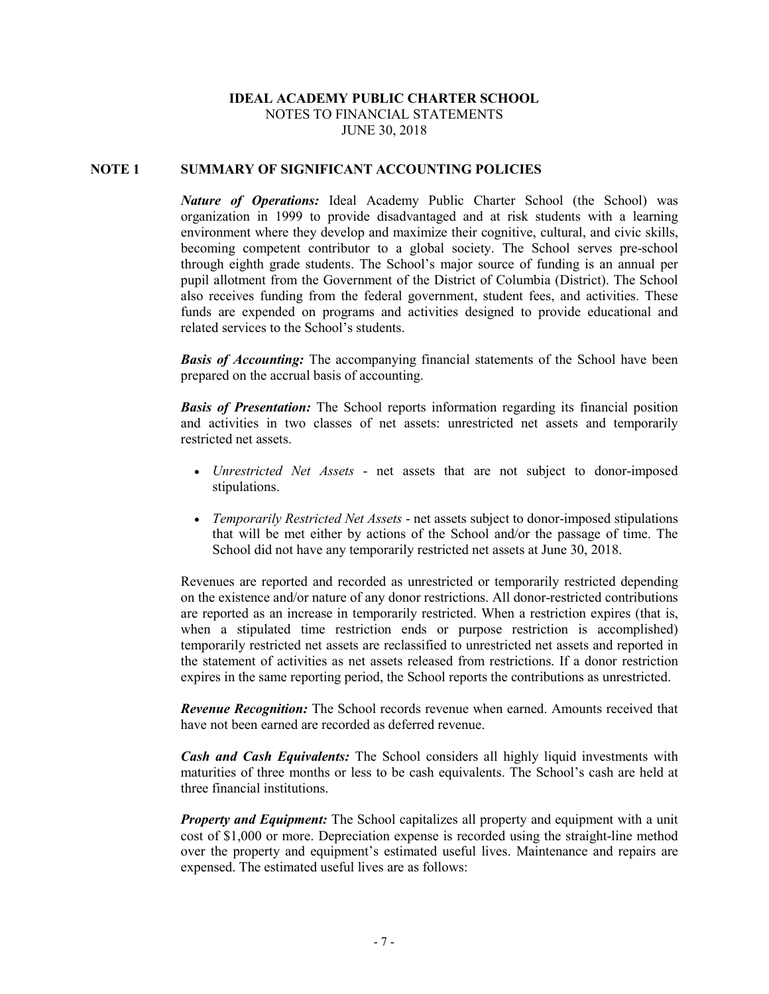#### **IDEAL ACADEMY PUBLIC CHARTER SCHOOL** NOTES TO FINANCIAL STATEMENTS JUNE 30, 2018

#### **NOTE 1 SUMMARY OF SIGNIFICANT ACCOUNTING POLICIES**

*Nature of Operations:* Ideal Academy Public Charter School (the School) was organization in 1999 to provide disadvantaged and at risk students with a learning environment where they develop and maximize their cognitive, cultural, and civic skills, becoming competent contributor to a global society. The School serves pre-school through eighth grade students. The School's major source of funding is an annual per pupil allotment from the Government of the District of Columbia (District). The School also receives funding from the federal government, student fees, and activities. These funds are expended on programs and activities designed to provide educational and related services to the School's students.

*Basis of Accounting:* The accompanying financial statements of the School have been prepared on the accrual basis of accounting.

*Basis of Presentation:* The School reports information regarding its financial position and activities in two classes of net assets: unrestricted net assets and temporarily restricted net assets.

- *Unrestricted Net Assets* net assets that are not subject to donor-imposed stipulations.
- *Temporarily Restricted Net Assets* net assets subject to donor-imposed stipulations that will be met either by actions of the School and/or the passage of time. The School did not have any temporarily restricted net assets at June 30, 2018.

Revenues are reported and recorded as unrestricted or temporarily restricted depending on the existence and/or nature of any donor restrictions. All donor-restricted contributions are reported as an increase in temporarily restricted. When a restriction expires (that is, when a stipulated time restriction ends or purpose restriction is accomplished) temporarily restricted net assets are reclassified to unrestricted net assets and reported in the statement of activities as net assets released from restrictions. If a donor restriction expires in the same reporting period, the School reports the contributions as unrestricted.

*Revenue Recognition:* The School records revenue when earned. Amounts received that have not been earned are recorded as deferred revenue.

*Cash and Cash Equivalents:* The School considers all highly liquid investments with maturities of three months or less to be cash equivalents. The School's cash are held at three financial institutions.

*Property and Equipment:* The School capitalizes all property and equipment with a unit cost of \$1,000 or more. Depreciation expense is recorded using the straight-line method over the property and equipment's estimated useful lives. Maintenance and repairs are expensed. The estimated useful lives are as follows: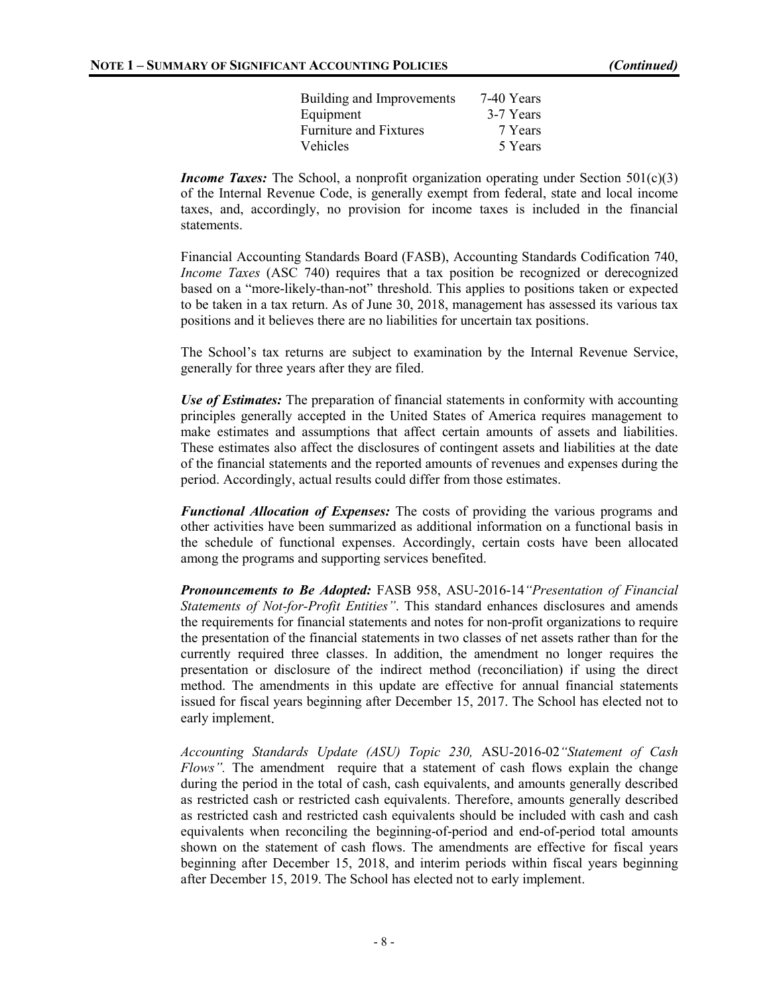| 7-40 Years |
|------------|
| 3-7 Years  |
| 7 Years    |
| 5 Years    |
|            |

*Income Taxes:* The School, a nonprofit organization operating under Section 501(c)(3) of the Internal Revenue Code, is generally exempt from federal, state and local income taxes, and, accordingly, no provision for income taxes is included in the financial statements.

Financial Accounting Standards Board (FASB), Accounting Standards Codification 740, *Income Taxes* (ASC 740) requires that a tax position be recognized or derecognized based on a "more-likely-than-not" threshold. This applies to positions taken or expected to be taken in a tax return. As of June 30, 2018, management has assessed its various tax positions and it believes there are no liabilities for uncertain tax positions.

The School's tax returns are subject to examination by the Internal Revenue Service, generally for three years after they are filed.

*Use of Estimates:* The preparation of financial statements in conformity with accounting principles generally accepted in the United States of America requires management to make estimates and assumptions that affect certain amounts of assets and liabilities. These estimates also affect the disclosures of contingent assets and liabilities at the date of the financial statements and the reported amounts of revenues and expenses during the period. Accordingly, actual results could differ from those estimates.

*Functional Allocation of Expenses:* The costs of providing the various programs and other activities have been summarized as additional information on a functional basis in the schedule of functional expenses. Accordingly, certain costs have been allocated among the programs and supporting services benefited.

*Pronouncements to Be Adopted:* FASB 958, ASU-2016-14*"Presentation of Financial Statements of Not-for-Profit Entities"*. This standard enhances disclosures and amends the requirements for financial statements and notes for non-profit organizations to require the presentation of the financial statements in two classes of net assets rather than for the currently required three classes. In addition, the amendment no longer requires the presentation or disclosure of the indirect method (reconciliation) if using the direct method. The amendments in this update are effective for annual financial statements issued for fiscal years beginning after December 15, 2017. The School has elected not to early implement.

*Accounting Standards Update (ASU) Topic 230,* ASU-2016-02*"Statement of Cash Flows"*. The amendment require that a statement of cash flows explain the change during the period in the total of cash, cash equivalents, and amounts generally described as restricted cash or restricted cash equivalents. Therefore, amounts generally described as restricted cash and restricted cash equivalents should be included with cash and cash equivalents when reconciling the beginning-of-period and end-of-period total amounts shown on the statement of cash flows. The amendments are effective for fiscal years beginning after December 15, 2018, and interim periods within fiscal years beginning after December 15, 2019. The School has elected not to early implement.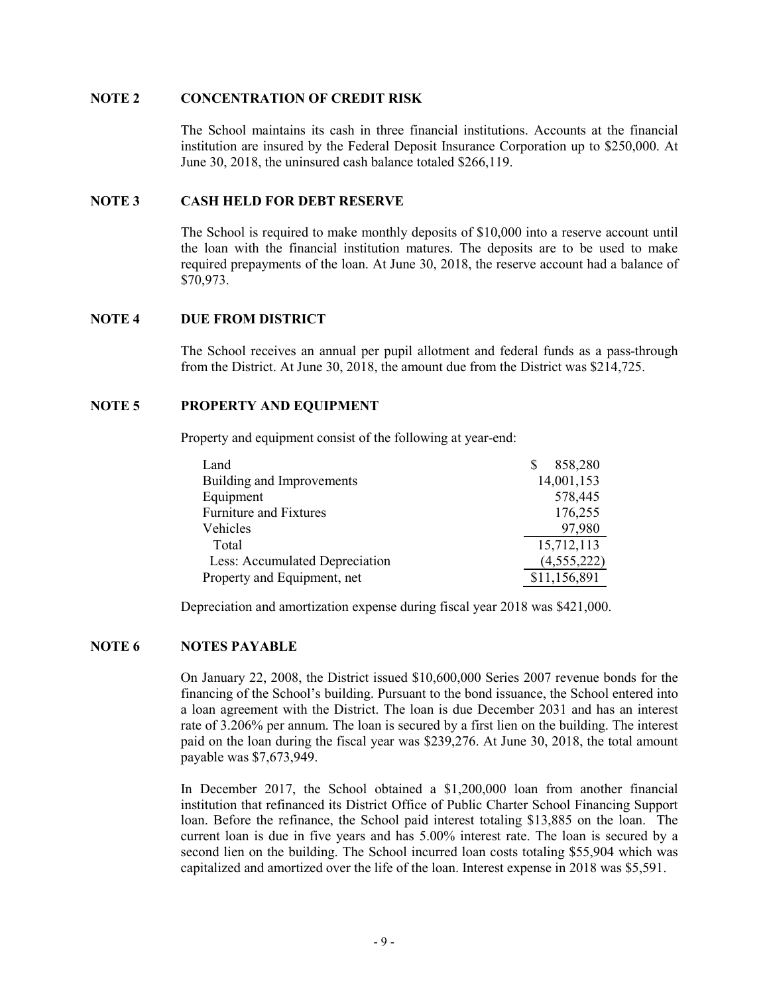#### **NOTE 2 CONCENTRATION OF CREDIT RISK**

The School maintains its cash in three financial institutions. Accounts at the financial institution are insured by the Federal Deposit Insurance Corporation up to \$250,000. At June 30, 2018, the uninsured cash balance totaled \$266,119.

#### **NOTE 3 CASH HELD FOR DEBT RESERVE**

The School is required to make monthly deposits of \$10,000 into a reserve account until the loan with the financial institution matures. The deposits are to be used to make required prepayments of the loan. At June 30, 2018, the reserve account had a balance of \$70,973.

#### **NOTE 4 DUE FROM DISTRICT**

The School receives an annual per pupil allotment and federal funds as a pass-through from the District. At June 30, 2018, the amount due from the District was \$214,725.

#### **NOTE 5 PROPERTY AND EQUIPMENT**

Property and equipment consist of the following at year-end:

| Land                           | 858,280       |
|--------------------------------|---------------|
| Building and Improvements      | 14,001,153    |
| Equipment                      | 578,445       |
| <b>Furniture and Fixtures</b>  | 176,255       |
| Vehicles                       | 97,980        |
| Total                          | 15,712,113    |
| Less: Accumulated Depreciation | (4, 555, 222) |
| Property and Equipment, net    | \$11,156,891  |

Depreciation and amortization expense during fiscal year 2018 was \$421,000.

#### **NOTE 6 NOTES PAYABLE**

On January 22, 2008, the District issued \$10,600,000 Series 2007 revenue bonds for the financing of the School's building. Pursuant to the bond issuance, the School entered into a loan agreement with the District. The loan is due December 2031 and has an interest rate of 3.206% per annum. The loan is secured by a first lien on the building. The interest paid on the loan during the fiscal year was \$239,276. At June 30, 2018, the total amount payable was \$7,673,949.

In December 2017, the School obtained a \$1,200,000 loan from another financial institution that refinanced its District Office of Public Charter School Financing Support loan. Before the refinance, the School paid interest totaling \$13,885 on the loan. The current loan is due in five years and has 5.00% interest rate. The loan is secured by a second lien on the building. The School incurred loan costs totaling \$55,904 which was capitalized and amortized over the life of the loan. Interest expense in 2018 was \$5,591.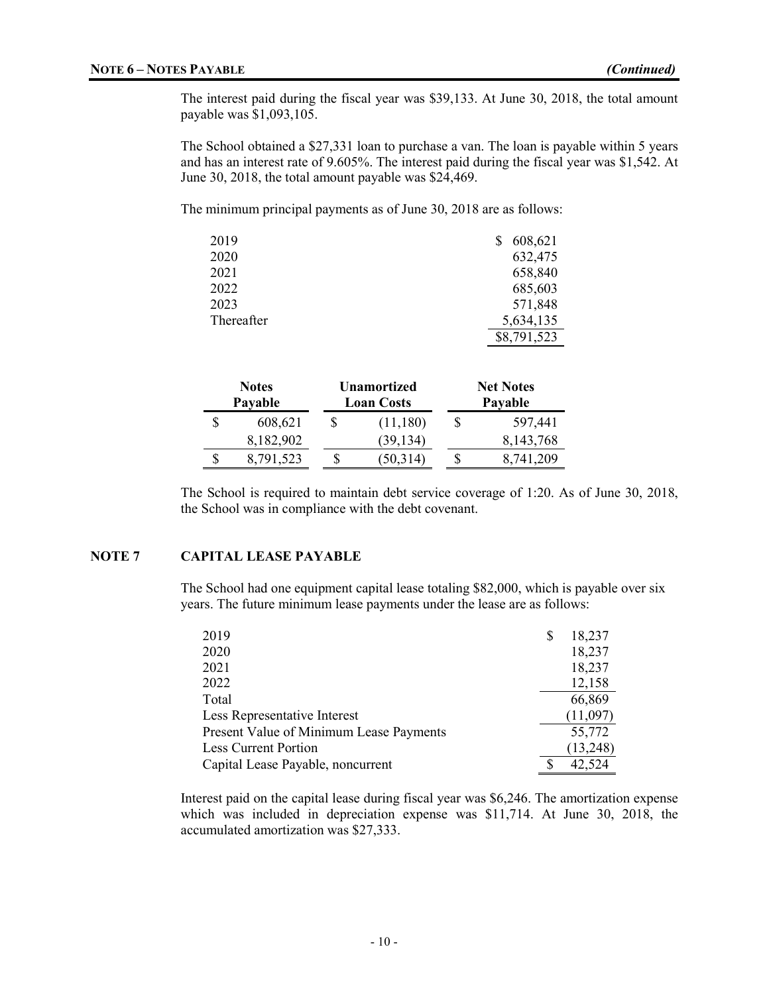The interest paid during the fiscal year was \$39,133. At June 30, 2018, the total amount payable was \$1,093,105.

The School obtained a \$27,331 loan to purchase a van. The loan is payable within 5 years and has an interest rate of 9.605%. The interest paid during the fiscal year was \$1,542. At June 30, 2018, the total amount payable was \$24,469.

The minimum principal payments as of June 30, 2018 are as follows:

| 2019       | 608,621     |
|------------|-------------|
| 2020       | 632,475     |
| 2021       | 658,840     |
| 2022       | 685,603     |
| 2023       | 571,848     |
| Thereafter | 5,634,135   |
|            | \$8,791,523 |

|   | <b>Notes</b><br>Payable |  | <b>Unamortized</b><br><b>Loan Costs</b> |  | <b>Net Notes</b><br>Payable |  |
|---|-------------------------|--|-----------------------------------------|--|-----------------------------|--|
|   | 608,621                 |  | (11,180)                                |  | 597,441                     |  |
|   | 8,182,902               |  | (39, 134)                               |  | 8,143,768                   |  |
| S | 8,791,523               |  | (50,314)                                |  | 8.741.209                   |  |

The School is required to maintain debt service coverage of 1:20. As of June 30, 2018, the School was in compliance with the debt covenant.

#### **NOTE 7 CAPITAL LEASE PAYABLE**

The School had one equipment capital lease totaling \$82,000, which is payable over six years. The future minimum lease payments under the lease are as follows:

| 2019                                    | S | 18,237   |
|-----------------------------------------|---|----------|
| 2020                                    |   | 18,237   |
| 2021                                    |   | 18,237   |
| 2022                                    |   | 12,158   |
| Total                                   |   | 66,869   |
| Less Representative Interest            |   | (11,097) |
| Present Value of Minimum Lease Payments |   | 55,772   |
| <b>Less Current Portion</b>             |   | (13,248) |
| Capital Lease Payable, noncurrent       |   | 42,524   |

Interest paid on the capital lease during fiscal year was \$6,246. The amortization expense which was included in depreciation expense was \$11,714. At June 30, 2018, the accumulated amortization was \$27,333.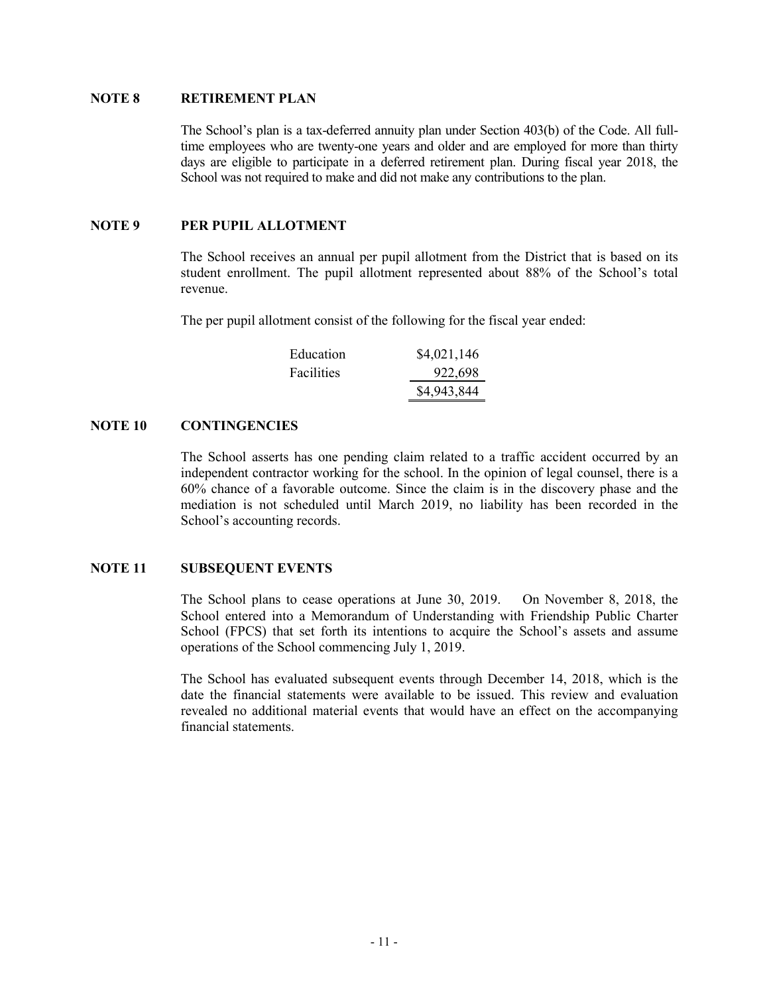#### **NOTE 8 RETIREMENT PLAN**

The School's plan is a tax-deferred annuity plan under Section 403(b) of the Code. All fulltime employees who are twenty-one years and older and are employed for more than thirty days are eligible to participate in a deferred retirement plan. During fiscal year 2018, the School was not required to make and did not make any contributions to the plan.

#### **NOTE 9 PER PUPIL ALLOTMENT**

The School receives an annual per pupil allotment from the District that is based on its student enrollment. The pupil allotment represented about 88% of the School's total revenue.

The per pupil allotment consist of the following for the fiscal year ended:

| Education  | \$4,021,146 |
|------------|-------------|
| Facilities | 922,698     |
|            | \$4,943,844 |

#### **NOTE 10 CONTINGENCIES**

The School asserts has one pending claim related to a traffic accident occurred by an independent contractor working for the school. In the opinion of legal counsel, there is a 60% chance of a favorable outcome. Since the claim is in the discovery phase and the mediation is not scheduled until March 2019, no liability has been recorded in the School's accounting records.

#### **NOTE 11 SUBSEQUENT EVENTS**

The School plans to cease operations at June 30, 2019. On November 8, 2018, the School entered into a Memorandum of Understanding with Friendship Public Charter School (FPCS) that set forth its intentions to acquire the School's assets and assume operations of the School commencing July 1, 2019.

The School has evaluated subsequent events through December 14, 2018, which is the date the financial statements were available to be issued. This review and evaluation revealed no additional material events that would have an effect on the accompanying financial statements.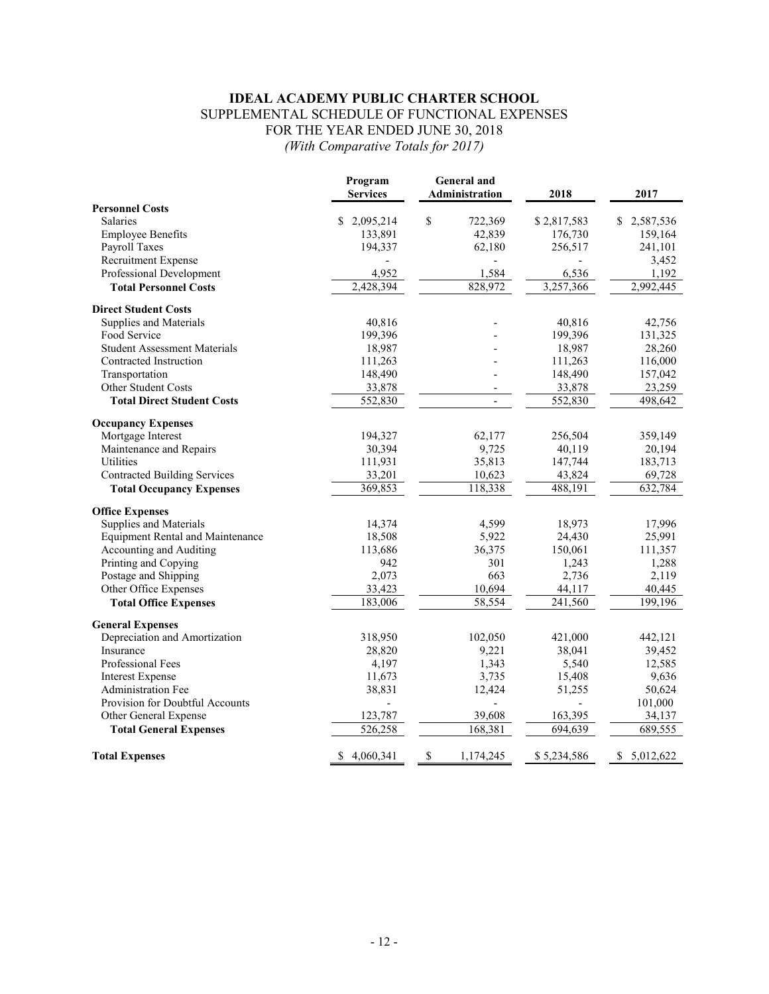## **IDEAL ACADEMY PUBLIC CHARTER SCHOOL** SUPPLEMENTAL SCHEDULE OF FUNCTIONAL EXPENSES FOR THE YEAR ENDED JUNE 30, 2018 *(With Comparative Totals for 2017)*

|                                                | Program<br><b>Services</b> | <b>General</b> and<br>Administration | 2018        | 2017           |
|------------------------------------------------|----------------------------|--------------------------------------|-------------|----------------|
| <b>Personnel Costs</b>                         |                            |                                      |             |                |
| <b>Salaries</b>                                | \$<br>2,095,214            | \$<br>722,369                        | \$2,817,583 | 2,587,536<br>S |
| <b>Employee Benefits</b>                       | 133,891                    | 42,839                               | 176,730     | 159,164        |
| Payroll Taxes                                  | 194,337                    | 62,180                               | 256,517     | 241,101        |
| Recruitment Expense                            |                            |                                      |             | 3,452          |
| Professional Development                       | 4,952                      | 1,584                                | 6,536       | 1,192          |
| <b>Total Personnel Costs</b>                   | 2,428,394                  | 828,972                              | 3,257,366   | 2,992,445      |
| <b>Direct Student Costs</b>                    |                            |                                      |             |                |
| Supplies and Materials                         | 40,816                     |                                      | 40,816      | 42,756         |
| Food Service                                   | 199,396                    |                                      | 199,396     | 131,325        |
| <b>Student Assessment Materials</b>            | 18,987                     |                                      | 18,987      | 28,260         |
| Contracted Instruction                         | 111,263                    |                                      | 111,263     | 116,000        |
| Transportation                                 | 148,490                    |                                      | 148,490     | 157,042        |
| Other Student Costs                            | 33,878                     | $\overline{a}$                       | 33,878      | 23,259         |
| <b>Total Direct Student Costs</b>              | 552,830                    | $\overline{a}$                       | 552,830     | 498,642        |
|                                                |                            |                                      |             |                |
| <b>Occupancy Expenses</b><br>Mortgage Interest | 194,327                    | 62,177                               | 256,504     | 359,149        |
| Maintenance and Repairs                        | 30,394                     | 9,725                                | 40,119      | 20,194         |
| Utilities                                      |                            | 35,813                               |             |                |
|                                                | 111,931                    |                                      | 147,744     | 183,713        |
| <b>Contracted Building Services</b>            | 33,201                     | 10,623                               | 43,824      | 69,728         |
| <b>Total Occupancy Expenses</b>                | 369,853                    | 118,338                              | 488,191     | 632,784        |
| <b>Office Expenses</b>                         |                            |                                      |             |                |
| Supplies and Materials                         | 14,374                     | 4,599                                | 18,973      | 17,996         |
| <b>Equipment Rental and Maintenance</b>        | 18,508                     | 5,922                                | 24,430      | 25,991         |
| Accounting and Auditing                        | 113,686                    | 36,375                               | 150,061     | 111,357        |
| Printing and Copying                           | 942                        | 301                                  | 1,243       | 1,288          |
| Postage and Shipping                           | 2,073                      | 663                                  | 2,736       | 2,119          |
| Other Office Expenses                          | 33,423                     | 10,694                               | 44,117      | 40,445         |
| <b>Total Office Expenses</b>                   | 183,006                    | $\overline{58,554}$                  | 241,560     | 199,196        |
| <b>General Expenses</b>                        |                            |                                      |             |                |
| Depreciation and Amortization                  | 318,950                    | 102,050                              | 421,000     | 442,121        |
| Insurance                                      | 28,820                     | 9,221                                | 38,041      | 39,452         |
| Professional Fees                              | 4,197                      | 1,343                                | 5,540       | 12,585         |
| <b>Interest Expense</b>                        | 11,673                     | 3,735                                | 15,408      | 9,636          |
| <b>Administration Fee</b>                      | 38,831                     | 12,424                               | 51,255      | 50,624         |
| Provision for Doubtful Accounts                |                            |                                      |             | 101,000        |
| Other General Expense                          | 123,787                    | 39,608                               | 163,395     | 34,137         |
| <b>Total General Expenses</b>                  | 526,258                    | 168,381                              | 694,639     | 689,555        |
| <b>Total Expenses</b>                          | 4,060,341<br>\$            | \$<br>1,174,245                      | \$5,234,586 | \$5,012,622    |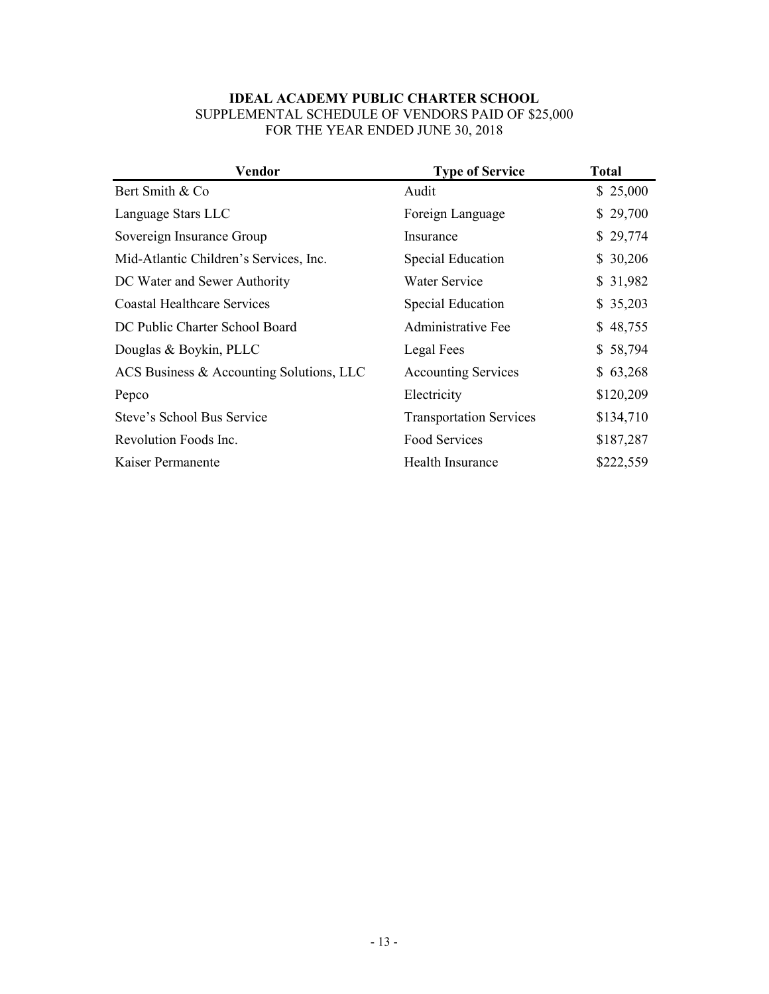## **IDEAL ACADEMY PUBLIC CHARTER SCHOOL** SUPPLEMENTAL SCHEDULE OF VENDORS PAID OF \$25,000 FOR THE YEAR ENDED JUNE 30, 2018

| Vendor                                   | <b>Type of Service</b>         | <b>Total</b> |
|------------------------------------------|--------------------------------|--------------|
| Bert Smith & Co                          | Audit                          | \$25,000     |
| Language Stars LLC                       | Foreign Language               | \$29,700     |
| Sovereign Insurance Group                | Insurance                      | \$29,774     |
| Mid-Atlantic Children's Services, Inc.   | Special Education              | \$30,206     |
| DC Water and Sewer Authority             | Water Service                  | \$31,982     |
| Coastal Healthcare Services              | Special Education              | \$35,203     |
| DC Public Charter School Board           | Administrative Fee             | \$48,755     |
| Douglas & Boykin, PLLC                   | Legal Fees                     | \$58,794     |
| ACS Business & Accounting Solutions, LLC | <b>Accounting Services</b>     | \$63,268     |
| Pepco                                    | Electricity                    | \$120,209    |
| Steve's School Bus Service               | <b>Transportation Services</b> | \$134,710    |
| Revolution Foods Inc.                    | Food Services                  | \$187,287    |
| Kaiser Permanente                        | Health Insurance               | \$222,559    |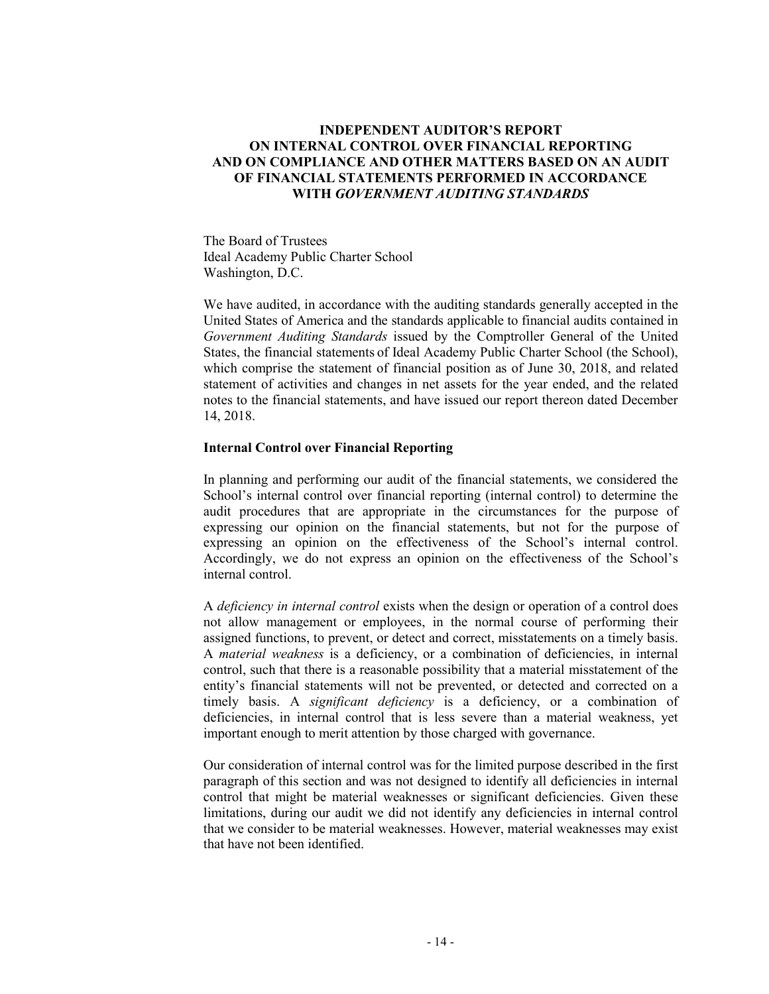## **INDEPENDENT AUDITOR'S REPORT ON INTERNAL CONTROL OVER FINANCIAL REPORTING AND ON COMPLIANCE AND OTHER MATTERS BASED ON AN AUDIT OF FINANCIAL STATEMENTS PERFORMED IN ACCORDANCE WITH** *GOVERNMENT AUDITING STANDARDS*

The Board of Trustees Ideal Academy Public Charter School Washington, D.C.

We have audited, in accordance with the auditing standards generally accepted in the United States of America and the standards applicable to financial audits contained in *Government Auditing Standards* issued by the Comptroller General of the United States, the financial statements of Ideal Academy Public Charter School (the School), which comprise the statement of financial position as of June 30, 2018, and related statement of activities and changes in net assets for the year ended, and the related notes to the financial statements, and have issued our report thereon dated December 14, 2018.

#### **Internal Control over Financial Reporting**

In planning and performing our audit of the financial statements, we considered the School's internal control over financial reporting (internal control) to determine the audit procedures that are appropriate in the circumstances for the purpose of expressing our opinion on the financial statements, but not for the purpose of expressing an opinion on the effectiveness of the School's internal control. Accordingly, we do not express an opinion on the effectiveness of the School's internal control.

A *deficiency in internal control* exists when the design or operation of a control does not allow management or employees, in the normal course of performing their assigned functions, to prevent, or detect and correct, misstatements on a timely basis. A *material weakness* is a deficiency, or a combination of deficiencies, in internal control, such that there is a reasonable possibility that a material misstatement of the entity's financial statements will not be prevented, or detected and corrected on a timely basis. A *significant deficiency* is a deficiency, or a combination of deficiencies, in internal control that is less severe than a material weakness, yet important enough to merit attention by those charged with governance.

Our consideration of internal control was for the limited purpose described in the first paragraph of this section and was not designed to identify all deficiencies in internal control that might be material weaknesses or significant deficiencies. Given these limitations, during our audit we did not identify any deficiencies in internal control that we consider to be material weaknesses. However, material weaknesses may exist that have not been identified.